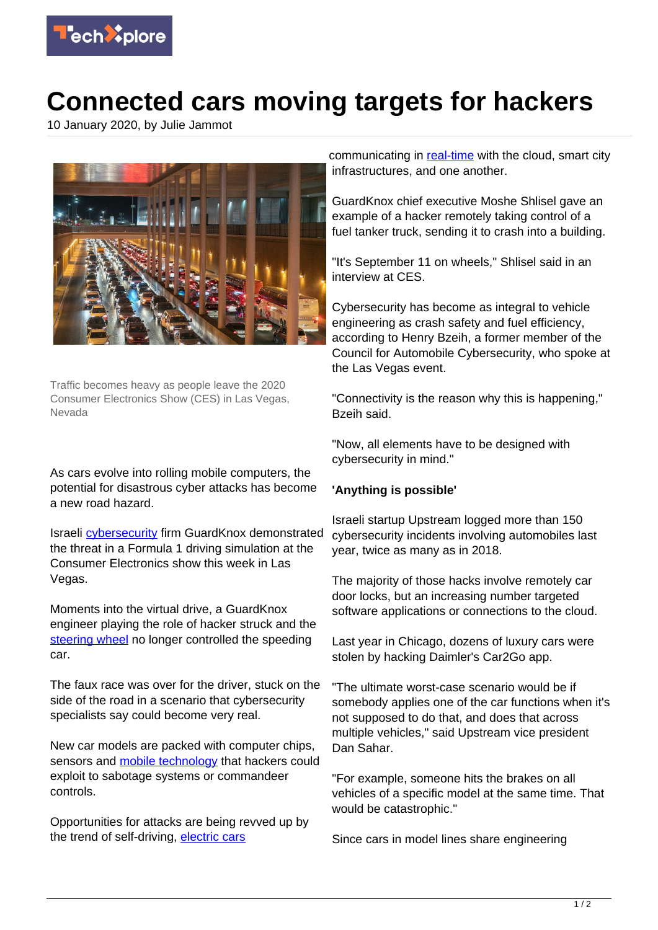

## **Connected cars moving targets for hackers**

10 January 2020, by Julie Jammot



Traffic becomes heavy as people leave the 2020 Consumer Electronics Show (CES) in Las Vegas, Nevada

As cars evolve into rolling mobile computers, the potential for disastrous cyber attacks has become a new road hazard.

Israeli [cybersecurity](https://techxplore.com/tags/cybersecurity/) firm GuardKnox demonstrated the threat in a Formula 1 driving simulation at the Consumer Electronics show this week in Las Vegas.

Moments into the virtual drive, a GuardKnox engineer playing the role of hacker struck and the [steering wheel](https://techxplore.com/tags/steering+wheel/) no longer controlled the speeding car.

The faux race was over for the driver, stuck on the side of the road in a scenario that cybersecurity specialists say could become very real.

New car models are packed with computer chips, sensors and **mobile technology** that hackers could exploit to sabotage systems or commandeer controls.

Opportunities for attacks are being revved up by the trend of self-driving, [electric cars](https://techxplore.com/tags/electric+cars/)

communicating in [real-time](https://techxplore.com/tags/real-time/) with the cloud, smart city infrastructures, and one another.

GuardKnox chief executive Moshe Shlisel gave an example of a hacker remotely taking control of a fuel tanker truck, sending it to crash into a building.

"It's September 11 on wheels," Shlisel said in an interview at CES.

Cybersecurity has become as integral to vehicle engineering as crash safety and fuel efficiency, according to Henry Bzeih, a former member of the Council for Automobile Cybersecurity, who spoke at the Las Vegas event.

"Connectivity is the reason why this is happening," Bzeih said.

"Now, all elements have to be designed with cybersecurity in mind."

## **'Anything is possible'**

Israeli startup Upstream logged more than 150 cybersecurity incidents involving automobiles last year, twice as many as in 2018.

The majority of those hacks involve remotely car door locks, but an increasing number targeted software applications or connections to the cloud.

Last year in Chicago, dozens of luxury cars were stolen by hacking Daimler's Car2Go app.

"The ultimate worst-case scenario would be if somebody applies one of the car functions when it's not supposed to do that, and does that across multiple vehicles," said Upstream vice president Dan Sahar.

"For example, someone hits the brakes on all vehicles of a specific model at the same time. That would be catastrophic."

Since cars in model lines share engineering